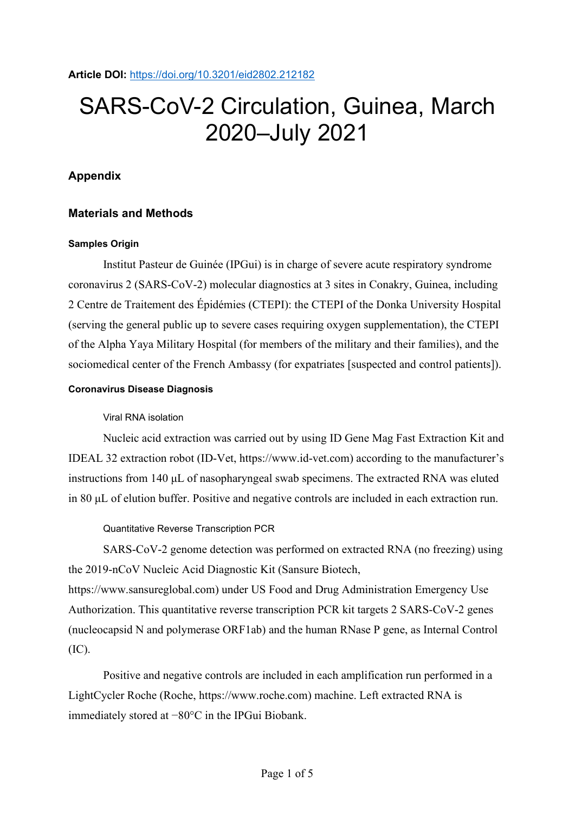**Article DOI:** <https://doi.org/10.3201/eid2802.212182>

# SARS-CoV-2 Circulation, Guinea, March 2020–July 2021

## **Appendix**

## **Materials and Methods**

## **Samples Origin**

Institut Pasteur de Guinée (IPGui) is in charge of severe acute respiratory syndrome coronavirus 2 (SARS-CoV-2) molecular diagnostics at 3 sites in Conakry, Guinea, including 2 Centre de Traitement des Épidémies (CTEPI): the CTEPI of the Donka University Hospital (serving the general public up to severe cases requiring oxygen supplementation), the CTEPI of the Alpha Yaya Military Hospital (for members of the military and their families), and the sociomedical center of the French Ambassy (for expatriates [suspected and control patients]).

## **Coronavirus Disease Diagnosis**

## Viral RNA isolation

Nucleic acid extraction was carried out by using ID Gene Mag Fast Extraction Kit and IDEAL 32 extraction robot (ID-Vet, https://www.id-vet.com) according to the manufacturer's instructions from 140 μL of nasopharyngeal swab specimens. The extracted RNA was eluted in 80 μL of elution buffer. Positive and negative controls are included in each extraction run.

Quantitative Reverse Transcription PCR

SARS-CoV-2 genome detection was performed on extracted RNA (no freezing) using the 2019-nCoV Nucleic Acid Diagnostic Kit (Sansure Biotech,

https://www.sansureglobal.com) under US Food and Drug Administration Emergency Use Authorization. This quantitative reverse transcription PCR kit targets 2 SARS-CoV-2 genes (nucleocapsid N and polymerase ORF1ab) and the human RNase P gene, as Internal Control (IC).

Positive and negative controls are included in each amplification run performed in a LightCycler Roche (Roche, https://www.roche.com) machine. Left extracted RNA is immediately stored at −80°C in the IPGui Biobank.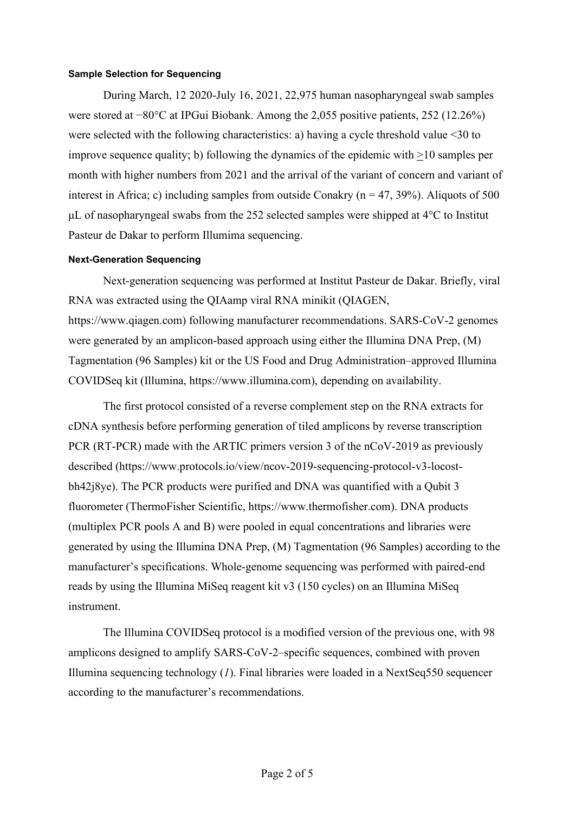#### **Sample Selection for Sequencing**

During March, 12 2020-July 16, 2021, 22,975 human nasopharyngeal swab samples were stored at −80°C at IPGui Biobank. Among the 2,055 positive patients, 252 (12.26%) were selected with the following characteristics: a) having a cycle threshold value <30 to improve sequence quality; b) following the dynamics of the epidemic with >10 samples per month with higher numbers from 2021 and the arrival of the variant of concern and variant of interest in Africa; c) including samples from outside Conakry ( $n = 47, 39\%$ ). Aliquots of 500 μL of nasopharyngeal swabs from the 252 selected samples were shipped at 4°C to Institut Pasteur de Dakar to perform Illumima sequencing.

#### **Next-Generation Sequencing**

Next-generation sequencing was performed at Institut Pasteur de Dakar. Briefly, viral RNA was extracted using the QIAamp viral RNA minikit (QIAGEN, https://www.qiagen.com) following manufacturer recommendations. SARS-CoV-2 genomes were generated by an amplicon-based approach using either the Illumina DNA Prep, (M) Tagmentation (96 Samples) kit or the US Food and Drug Administration–approved Illumina COVIDSeq kit (Illumina, https://www.illumina.com), depending on availability.

The first protocol consisted of a reverse complement step on the RNA extracts for cDNA synthesis before performing generation of tiled amplicons by reverse transcription PCR (RT-PCR) made with the ARTIC primers version 3 of the nCoV-2019 as previously described (https://www.protocols.io/view/ncov-2019-sequencing-protocol-v3-locostbh42j8ye). The PCR products were purified and DNA was quantified with a Qubit 3 fluorometer (ThermoFisher Scientific, https://www.thermofisher.com). DNA products (multiplex PCR pools A and B) were pooled in equal concentrations and libraries were generated by using the Illumina DNA Prep, (M) Tagmentation (96 Samples) according to the manufacturer's specifications. Whole-genome sequencing was performed with paired-end reads by using the Illumina MiSeq reagent kit v3 (150 cycles) on an Illumina MiSeq instrument.

The Illumina COVIDSeq protocol is a modified version of the previous one, with 98 amplicons designed to amplify SARS-CoV-2–specific sequences, combined with proven Illumina sequencing technology (*1*). Final libraries were loaded in a NextSeq550 sequencer according to the manufacturer's recommendations.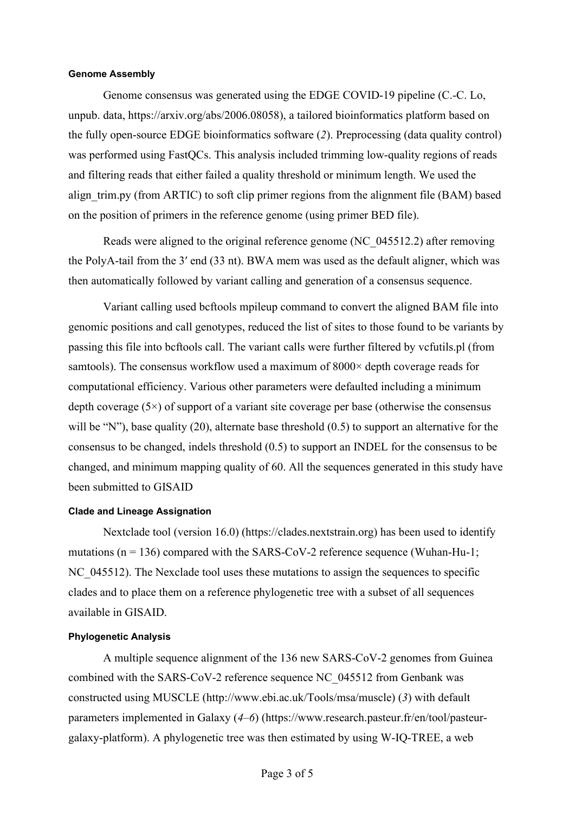#### **Genome Assembly**

Genome consensus was generated using the EDGE COVID-19 pipeline (C.-C. Lo, unpub. data, https://arxiv.org/abs/2006.08058), a tailored bioinformatics platform based on the fully open-source EDGE bioinformatics software (*2*). Preprocessing (data quality control) was performed using FastQCs. This analysis included trimming low-quality regions of reads and filtering reads that either failed a quality threshold or minimum length. We used the align trim.py (from ARTIC) to soft clip primer regions from the alignment file (BAM) based on the position of primers in the reference genome (using primer BED file).

Reads were aligned to the original reference genome (NC\_045512.2) after removing the PolyA-tail from the 3′ end (33 nt). BWA mem was used as the default aligner, which was then automatically followed by variant calling and generation of a consensus sequence.

Variant calling used bcftools mpileup command to convert the aligned BAM file into genomic positions and call genotypes, reduced the list of sites to those found to be variants by passing this file into bcftools call. The variant calls were further filtered by vcfutils.pl (from samtools). The consensus workflow used a maximum of 8000× depth coverage reads for computational efficiency. Various other parameters were defaulted including a minimum depth coverage  $(5\times)$  of support of a variant site coverage per base (otherwise the consensus will be "N"), base quality (20), alternate base threshold (0.5) to support an alternative for the consensus to be changed, indels threshold (0.5) to support an INDEL for the consensus to be changed, and minimum mapping quality of 60. All the sequences generated in this study have been submitted to GISAID

#### **Clade and Lineage Assignation**

Nextclade tool (version 16.0) (https://clades.nextstrain.org) has been used to identify mutations ( $n = 136$ ) compared with the SARS-CoV-2 reference sequence (Wuhan-Hu-1; NC 045512). The Nexclade tool uses these mutations to assign the sequences to specific clades and to place them on a reference phylogenetic tree with a subset of all sequences available in GISAID.

#### **Phylogenetic Analysis**

A multiple sequence alignment of the 136 new SARS-CoV-2 genomes from Guinea combined with the SARS-CoV-2 reference sequence NC\_045512 from Genbank was constructed using MUSCLE (http://www.ebi.ac.uk/Tools/msa/muscle) (*3*) with default parameters implemented in Galaxy (*4*–*6*) (https://www.research.pasteur.fr/en/tool/pasteurgalaxy-platform). A phylogenetic tree was then estimated by using W-IQ-TREE, a web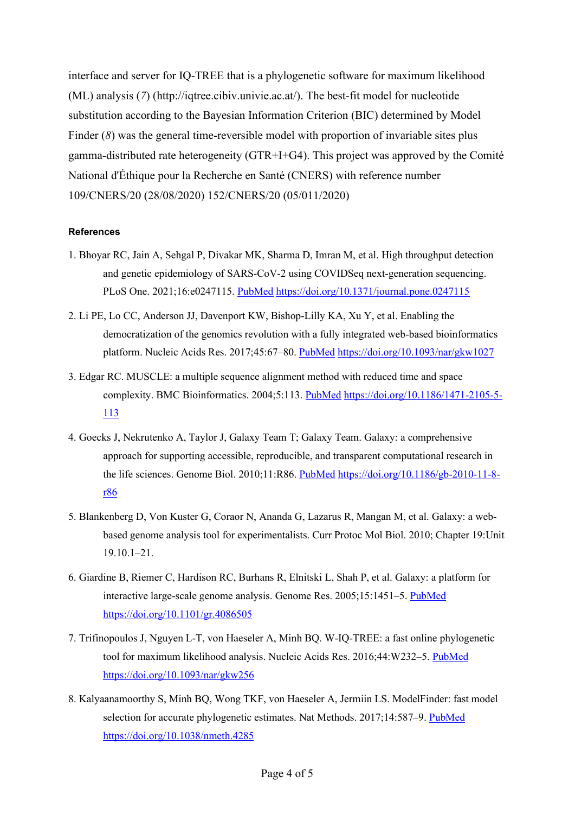interface and server for IQ-TREE that is a phylogenetic software for maximum likelihood (ML) analysis (*7*) (http://iqtree.cibiv.univie.ac.at/). The best-fit model for nucleotide substitution according to the Bayesian Information Criterion (BIC) determined by Model Finder (*8*) was the general time-reversible model with proportion of invariable sites plus gamma-distributed rate heterogeneity (GTR+I+G4). This project was approved by the Comité National d'Éthique pour la Recherche en Santé (CNERS) with reference number 109/CNERS/20 (28/08/2020) 152/CNERS/20 (05/011/2020)

## **References**

- 1. Bhoyar RC, Jain A, Sehgal P, Divakar MK, Sharma D, Imran M, et al. High throughput detection and genetic epidemiology of SARS-CoV-2 using COVIDSeq next-generation sequencing. PLoS One. 2021;16:e0247115. [PubMed](https://www.ncbi.nlm.nih.gov/entrez/query.fcgi?cmd=Retrieve&db=PubMed&list_uids=33596239&dopt=Abstract) <https://doi.org/10.1371/journal.pone.0247115>
- 2. Li PE, Lo CC, Anderson JJ, Davenport KW, Bishop-Lilly KA, Xu Y, et al. Enabling the democratization of the genomics revolution with a fully integrated web-based bioinformatics platform. Nucleic Acids Res. 2017;45:67–80. [PubMed](https://www.ncbi.nlm.nih.gov/entrez/query.fcgi?cmd=Retrieve&db=PubMed&list_uids=27899609&dopt=Abstract) <https://doi.org/10.1093/nar/gkw1027>
- 3. Edgar RC. MUSCLE: a multiple sequence alignment method with reduced time and space complexity. BMC Bioinformatics. 2004;5:113. [PubMed](https://www.ncbi.nlm.nih.gov/entrez/query.fcgi?cmd=Retrieve&db=PubMed&list_uids=15318951&dopt=Abstract) [https://doi.org/10.1186/1471-2105-5-](https://doi.org/10.1186/1471-2105-5-113) [113](https://doi.org/10.1186/1471-2105-5-113)
- 4. Goecks J, Nekrutenko A, Taylor J, Galaxy Team T; Galaxy Team. Galaxy: a comprehensive approach for supporting accessible, reproducible, and transparent computational research in the life sciences. Genome Biol. 2010;11:R86. [PubMed](https://www.ncbi.nlm.nih.gov/entrez/query.fcgi?cmd=Retrieve&db=PubMed&list_uids=20738864&dopt=Abstract) [https://doi.org/10.1186/gb-2010-11-8](https://doi.org/10.1186/gb-2010-11-8-r86) [r86](https://doi.org/10.1186/gb-2010-11-8-r86)
- 5. Blankenberg D, Von Kuster G, Coraor N, Ananda G, Lazarus R, Mangan M, et al. Galaxy: a webbased genome analysis tool for experimentalists. Curr Protoc Mol Biol. 2010; Chapter 19:Unit 19.10.1–21.
- 6. Giardine B, Riemer C, Hardison RC, Burhans R, Elnitski L, Shah P, et al. Galaxy: a platform for interactive large-scale genome analysis. Genome Res. 2005;15:1451–5. [PubMed](https://www.ncbi.nlm.nih.gov/entrez/query.fcgi?cmd=Retrieve&db=PubMed&list_uids=16169926&dopt=Abstract) <https://doi.org/10.1101/gr.4086505>
- 7. Trifinopoulos J, Nguyen L-T, von Haeseler A, Minh BQ. W-IQ-TREE: a fast online phylogenetic tool for maximum likelihood analysis. Nucleic Acids Res. 2016;44:W232–5. [PubMed](https://www.ncbi.nlm.nih.gov/entrez/query.fcgi?cmd=Retrieve&db=PubMed&list_uids=27084950&dopt=Abstract) <https://doi.org/10.1093/nar/gkw256>
- 8. Kalyaanamoorthy S, Minh BQ, Wong TKF, von Haeseler A, Jermiin LS. ModelFinder: fast model selection for accurate phylogenetic estimates. Nat Methods. 2017;14:587–9. [PubMed](https://www.ncbi.nlm.nih.gov/entrez/query.fcgi?cmd=Retrieve&db=PubMed&list_uids=28481363&dopt=Abstract) <https://doi.org/10.1038/nmeth.4285>